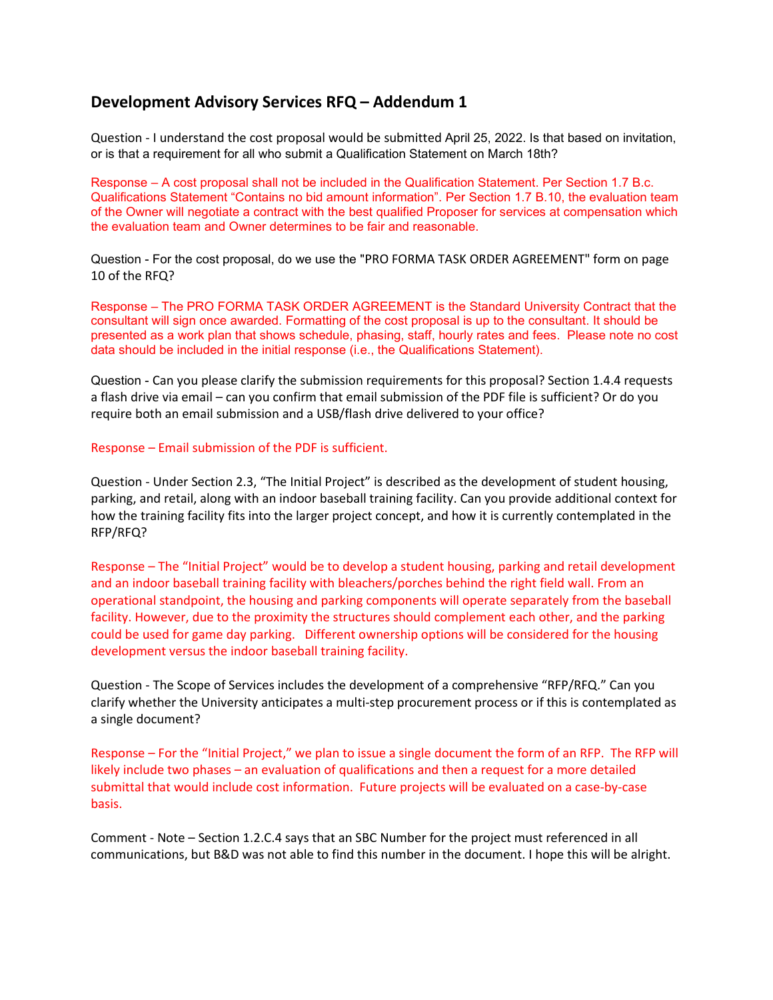## **Development Advisory Services RFQ – Addendum 1**

Question - I understand the cost proposal would be submitted April 25, 2022. Is that based on invitation, or is that a requirement for all who submit a Qualification Statement on March 18th?

Response – A cost proposal shall not be included in the Qualification Statement. Per Section 1.7 B.c. Qualifications Statement "Contains no bid amount information". Per Section 1.7 B.10, the evaluation team of the Owner will negotiate a contract with the best qualified Proposer for services at compensation which the evaluation team and Owner determines to be fair and reasonable.

Question - For the cost proposal, do we use the "PRO FORMA TASK ORDER AGREEMENT" form on page 10 of the RFQ?

Response – The PRO FORMA TASK ORDER AGREEMENT is the Standard University Contract that the consultant will sign once awarded. Formatting of the cost proposal is up to the consultant. It should be presented as a work plan that shows schedule, phasing, staff, hourly rates and fees. Please note no cost data should be included in the initial response (i.e., the Qualifications Statement).

Question - Can you please clarify the submission requirements for this proposal? Section 1.4.4 requests a flash drive via email – can you confirm that email submission of the PDF file is sufficient? Or do you require both an email submission and a USB/flash drive delivered to your office?

Response – Email submission of the PDF is sufficient.

Question - Under Section 2.3, "The Initial Project" is described as the development of student housing, parking, and retail, along with an indoor baseball training facility. Can you provide additional context for how the training facility fits into the larger project concept, and how it is currently contemplated in the RFP/RFQ?

Response – The "Initial Project" would be to develop a student housing, parking and retail development and an indoor baseball training facility with bleachers/porches behind the right field wall. From an operational standpoint, the housing and parking components will operate separately from the baseball facility. However, due to the proximity the structures should complement each other, and the parking could be used for game day parking. Different ownership options will be considered for the housing development versus the indoor baseball training facility.

Question - The Scope of Services includes the development of a comprehensive "RFP/RFQ." Can you clarify whether the University anticipates a multi-step procurement process or if this is contemplated as a single document?

Response – For the "Initial Project," we plan to issue a single document the form of an RFP. The RFP will likely include two phases – an evaluation of qualifications and then a request for a more detailed submittal that would include cost information. Future projects will be evaluated on a case-by-case basis.

Comment - Note – Section 1.2.C.4 says that an SBC Number for the project must referenced in all communications, but B&D was not able to find this number in the document. I hope this will be alright.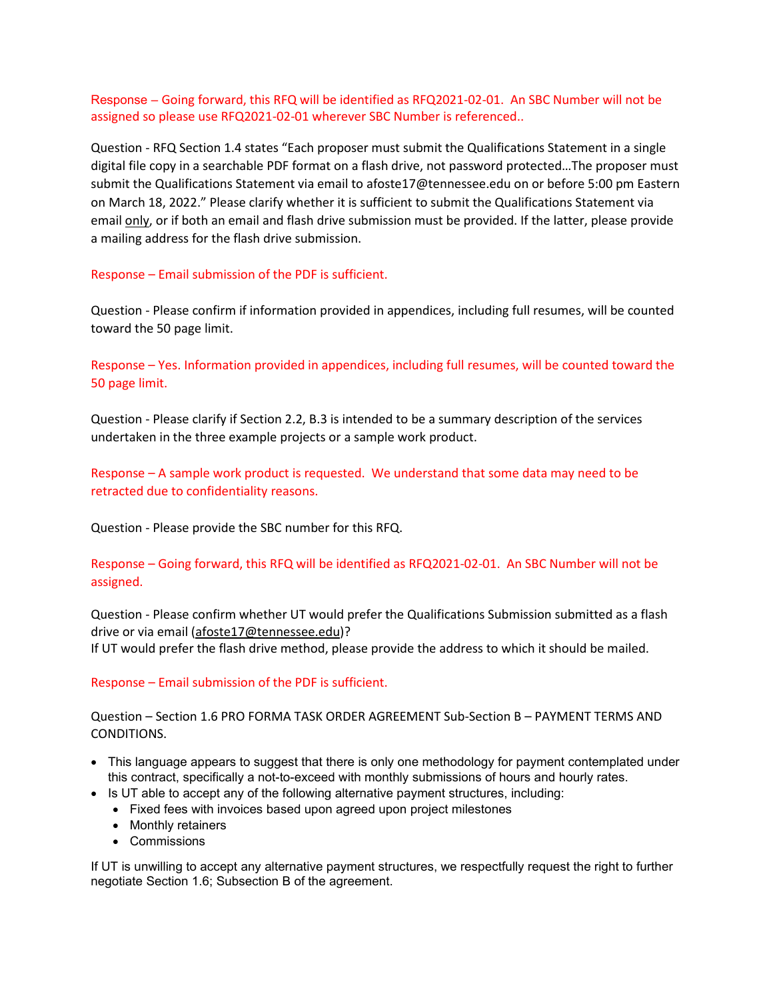Response – Going forward, this RFQ will be identified as RFQ2021-02-01. An SBC Number will not be assigned so please use RFQ2021-02-01 wherever SBC Number is referenced..

Question - RFQ Section 1.4 states "Each proposer must submit the Qualifications Statement in a single digital file copy in a searchable PDF format on a flash drive, not password protected…The proposer must submit the Qualifications Statement via email to afoste17@tennessee.edu on or before 5:00 pm Eastern on March 18, 2022." Please clarify whether it is sufficient to submit the Qualifications Statement via email only, or if both an email and flash drive submission must be provided. If the latter, please provide a mailing address for the flash drive submission.

Response – Email submission of the PDF is sufficient.

Question - Please confirm if information provided in appendices, including full resumes, will be counted toward the 50 page limit.

Response – Yes. Information provided in appendices, including full resumes, will be counted toward the 50 page limit.

Question - Please clarify if Section 2.2, B.3 is intended to be a summary description of the services undertaken in the three example projects or a sample work product.

Response – A sample work product is requested. We understand that some data may need to be retracted due to confidentiality reasons.

Question - Please provide the SBC number for this RFQ.

Response – Going forward, this RFQ will be identified as RFQ2021-02-01. An SBC Number will not be assigned.

Question - Please confirm whether UT would prefer the Qualifications Submission submitted as a flash drive or via email [\(afoste17@tennessee.edu\)](mailto:afoste17@tennessee.edu)?

If UT would prefer the flash drive method, please provide the address to which it should be mailed.

Response – Email submission of the PDF is sufficient.

Question – Section 1.6 PRO FORMA TASK ORDER AGREEMENT Sub-Section B – PAYMENT TERMS AND CONDITIONS.

- This language appears to suggest that there is only one methodology for payment contemplated under this contract, specifically a not-to-exceed with monthly submissions of hours and hourly rates.
- Is UT able to accept any of the following alternative payment structures, including:
	- Fixed fees with invoices based upon agreed upon project milestones
	- Monthly retainers
	- Commissions

If UT is unwilling to accept any alternative payment structures, we respectfully request the right to further negotiate Section 1.6; Subsection B of the agreement.